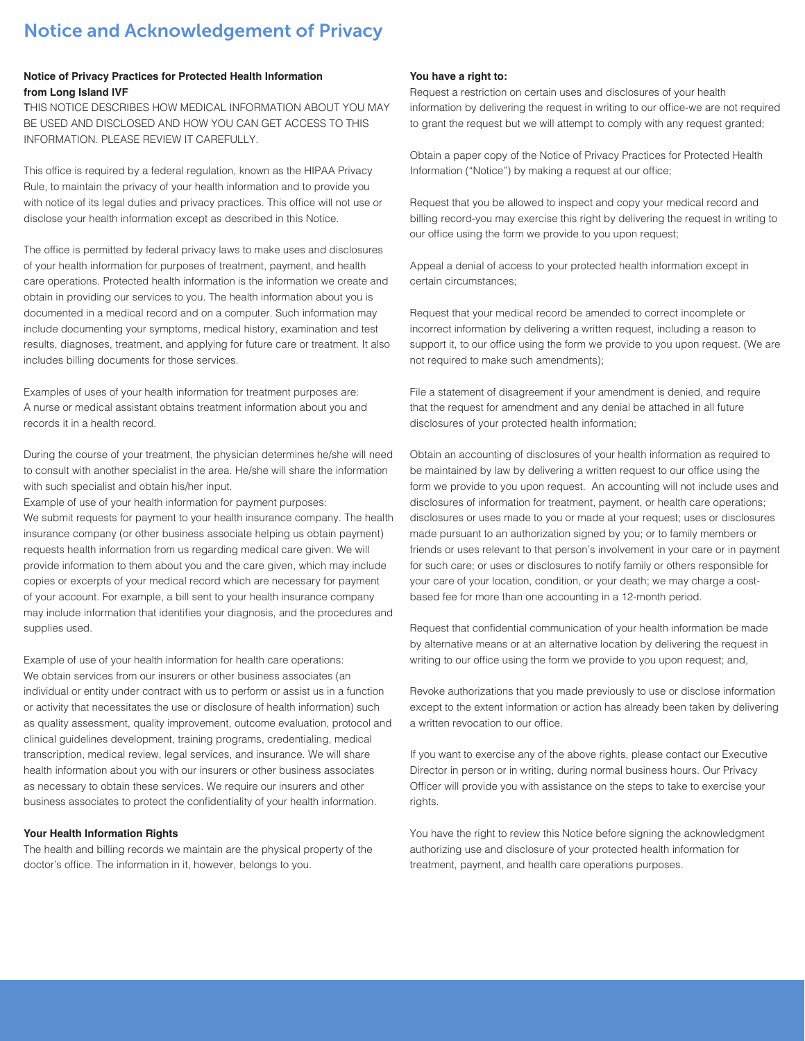# Notice and Acknowledgement of Privacy

# **Notice of Privacy Practices for Protected Health Information from Long Island IVF**

THIS NOTICE DESCRIBES HOW MEDICAL INFORMATION ABOUT YOU MAY BE USED AND DISCLOSED AND HOW YOU CAN GET ACCESS TO THIS INFORMATION. PLEASE REVIEW IT CAREFULLY.

This office is required by a federal regulation, known as the HIPAA Privacy Rule, to maintain the privacy of your health information and to provide you with notice of its legal duties and privacy practices. This office will not use or disclose your health information except as described in this Notice.

The office is permitted by federal privacy laws to make uses and disclosures of your health information for purposes of treatment, payment, and health care operations. Protected health information is the information we create and obtain in providing our services to you. The health information about you is documented in a medical record and on a computer. Such information may include documenting your symptoms, medical history, examination and test results, diagnoses, treatment, and applying for future care or treatment. It also includes billing documents for those services.

Examples of uses of your health information for treatment purposes are: A nurse or medical assistant obtains treatment information about you and records it in a health record.

During the course of your treatment, the physician determines he/she will need to consult with another specialist in the area. He/she will share the information with such specialist and obtain his/her input.

Example of use of your health information for payment purposes: We submit requests for payment to your health insurance company. The health insurance company (or other business associate helping us obtain payment) requests health information from us regarding medical care given. We will provide information to them about you and the care given, which may include copies or excerpts of your medical record which are necessary for payment of your account. For example, a bill sent to your health insurance company may include information that identifies your diagnosis, and the procedures and supplies used.

Example of use of your health information for health care operations: We obtain services from our insurers or other business associates (an individual or entity under contract with us to perform or assist us in a function or activity that necessitates the use or disclosure of health information) such as quality assessment, quality improvement, outcome evaluation, protocol and clinical guidelines development, training programs, credentialing, medical transcription, medical review, legal services, and insurance. We will share health information about you with our insurers or other business associates as necessary to obtain these services. We require our insurers and other business associates to protect the confidentiality of your health information.

# **Your Health Information Rights**

The health and billing records we maintain are the physical property of the doctor's office. The information in it, however, belongs to you.

#### **You have a right to:**

Request a restriction on certain uses and disclosures of your health information by delivering the request in writing to our office-we are not required to grant the request but we will attempt to comply with any request granted;

Obtain a paper copy of the Notice of Privacy Practices for Protected Health Information ("Notice") by making a request at our office;

Request that you be allowed to inspect and copy your medical record and billing record-you may exercise this right by delivering the request in writing to our office using the form we provide to you upon request;

Appeal a denial of access to your protected health information except in certain circumstances;

Request that your medical record be amended to correct incomplete or incorrect information by delivering a written request, including a reason to support it, to our office using the form we provide to you upon request. (We are not required to make such amendments);

File a statement of disagreement if your amendment is denied, and require that the request for amendment and any denial be attached in all future disclosures of your protected health information;

Obtain an accounting of disclosures of your health information as required to be maintained by law by delivering a written request to our office using the form we provide to you upon request. An accounting will not include uses and disclosures of information for treatment, payment, or health care operations; disclosures or uses made to you or made at your request; uses or disclosures made pursuant to an authorization signed by you; or to family members or friends or uses relevant to that person's involvement in your care or in payment for such care; or uses or disclosures to notify family or others responsible for your care of your location, condition, or your death; we may charge a costbased fee for more than one accounting in a 12-month period.

Request that confidential communication of your health information be made by alternative means or at an alternative location by delivering the request in writing to our office using the form we provide to you upon request; and,

Revoke authorizations that you made previously to use or disclose information except to the extent information or action has already been taken by delivering a written revocation to our office.

If you want to exercise any of the above rights, please contact our Executive Director in person or in writing, during normal business hours. Our Privacy Officer will provide you with assistance on the steps to take to exercise your rights.

You have the right to review this Notice before signing the acknowledgment authorizing use and disclosure of your protected health information for treatment, payment, and health care operations purposes.